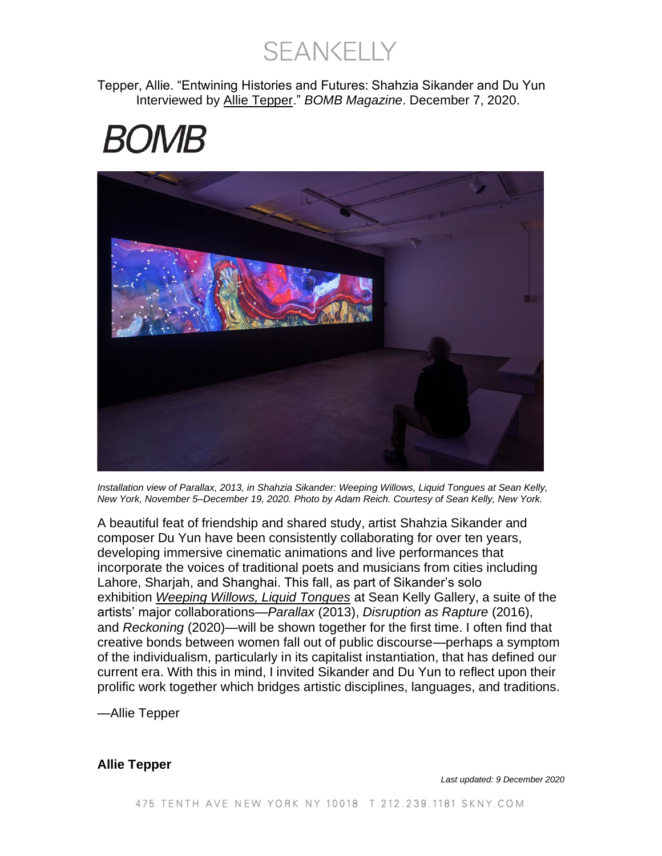**SEANKELLY** 

Tepper, Allie. "Entwining Histories and Futures: Shahzia Sikander and Du Yun Interviewed by [Allie Tepper.](https://bombmagazine.org/authors/allie-tepper)" *BOMB Magazine*. December 7, 2020.

# *BOMB*



*Installation view of Parallax, 2013, in Shahzia Sikander: Weeping Willows, Liquid Tongues at Sean Kelly, New York, November 5–December 19, 2020. Photo by Adam Reich. Courtesy of Sean Kelly, New York.*

A beautiful feat of friendship and shared study, artist Shahzia Sikander and composer Du Yun have been consistently collaborating for over ten years, developing immersive cinematic animations and live performances that incorporate the voices of traditional poets and musicians from cities including Lahore, Sharjah, and Shanghai. This fall, as part of Sikander's solo exhibition *[Weeping Willows, Liquid Tongues](https://www.skny.com/exhibitions/shahzia-sikander)* at Sean Kelly Gallery, a suite of the artists' major collaborations—*Parallax* (2013), *Disruption as Rapture* (2016), and *Reckoning* (2020)—will be shown together for the first time. I often find that creative bonds between women fall out of public discourse—perhaps a symptom of the individualism, particularly in its capitalist instantiation, that has defined our current era. With this in mind, I invited Sikander and Du Yun to reflect upon their prolific work together which bridges artistic disciplines, languages, and traditions.

—Allie Tepper

#### **Allie Tepper**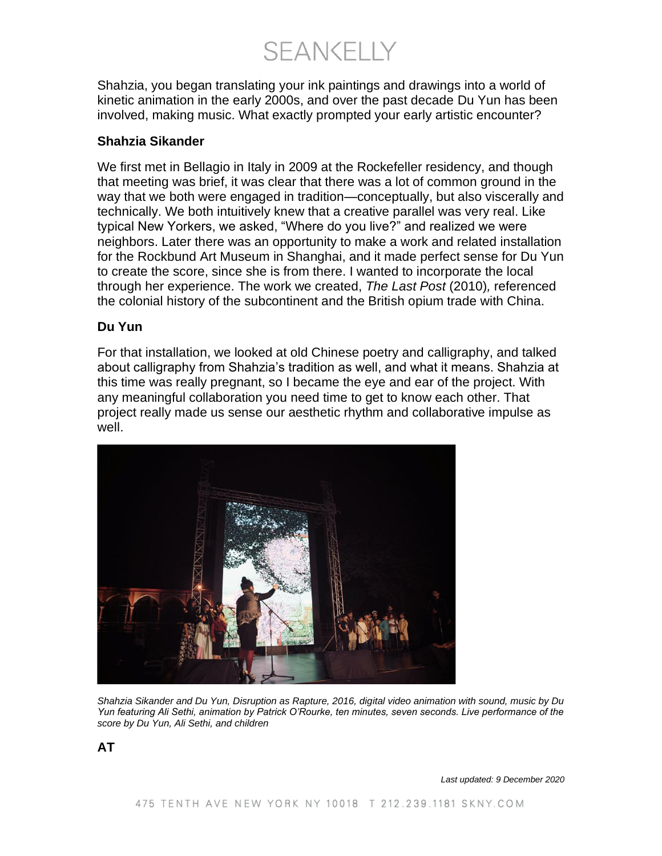**SEANKELLY** 

Shahzia, you began translating your ink paintings and drawings into a world of kinetic animation in the early 2000s, and over the past decade Du Yun has been involved, making music. What exactly prompted your early artistic encounter?

#### **Shahzia Sikander**

We first met in Bellagio in Italy in 2009 at the Rockefeller residency, and though that meeting was brief, it was clear that there was a lot of common ground in the way that we both were engaged in tradition—conceptually, but also viscerally and technically. We both intuitively knew that a creative parallel was very real. Like typical New Yorkers, we asked, "Where do you live?" and realized we were neighbors. Later there was an opportunity to make a work and related installation for the Rockbund Art Museum in Shanghai, and it made perfect sense for Du Yun to create the score, since she is from there. I wanted to incorporate the local through her experience. The work we created, *The Last Post* (2010)*,* referenced the colonial history of the subcontinent and the British opium trade with China.

#### **Du Yun**

For that installation, we looked at old Chinese poetry and calligraphy, and talked about calligraphy from Shahzia's tradition as well, and what it means. Shahzia at this time was really pregnant, so I became the eye and ear of the project. With any meaningful collaboration you need time to get to know each other. That project really made us sense our aesthetic rhythm and collaborative impulse as well.



*Shahzia Sikander and Du Yun, Disruption as Rapture, 2016, digital video animation with sound, music by Du Yun featuring Ali Sethi, animation by Patrick O'Rourke, ten minutes, seven seconds. Live performance of the score by Du Yun, Ali Sethi, and children*

**AT**

*Last updated: 9 December 2020*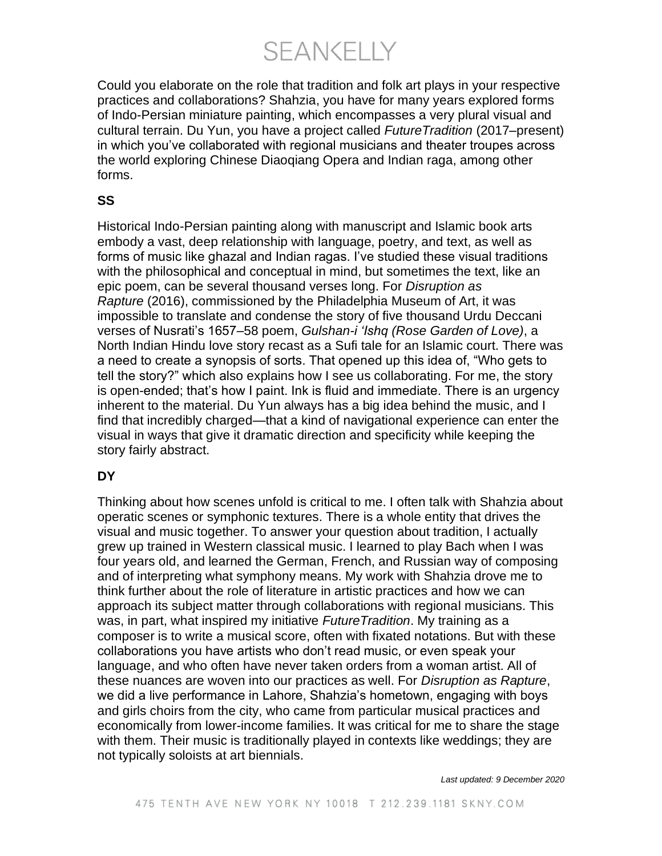**SEANKELLY** 

Could you elaborate on the role that tradition and folk art plays in your respective practices and collaborations? Shahzia, you have for many years explored forms of Indo-Persian miniature painting, which encompasses a very plural visual and cultural terrain. Du Yun, you have a project called *FutureTradition* (2017–present) in which you've collaborated with regional musicians and theater troupes across the world exploring Chinese Diaoqiang Opera and Indian raga, among other forms.

# **SS**

Historical Indo-Persian painting along with manuscript and Islamic book arts embody a vast, deep relationship with language, poetry, and text, as well as forms of music like ghazal and Indian ragas. I've studied these visual traditions with the philosophical and conceptual in mind, but sometimes the text, like an epic poem, can be several thousand verses long. For *Disruption as Rapture* (2016), commissioned by the Philadelphia Museum of Art, it was impossible to translate and condense the story of five thousand Urdu Deccani verses of Nusrati's 1657–58 poem, *Gulshan-i 'Ishq (Rose Garden of Love)*, a North Indian Hindu love story recast as a Sufi tale for an Islamic court. There was a need to create a synopsis of sorts. That opened up this idea of, "Who gets to tell the story?" which also explains how I see us collaborating. For me, the story is open-ended; that's how I paint. Ink is fluid and immediate. There is an urgency inherent to the material. Du Yun always has a big idea behind the music, and I find that incredibly charged—that a kind of navigational experience can enter the visual in ways that give it dramatic direction and specificity while keeping the story fairly abstract.

# **DY**

Thinking about how scenes unfold is critical to me. I often talk with Shahzia about operatic scenes or symphonic textures. There is a whole entity that drives the visual and music together. To answer your question about tradition, I actually grew up trained in Western classical music. I learned to play Bach when I was four years old, and learned the German, French, and Russian way of composing and of interpreting what symphony means. My work with Shahzia drove me to think further about the role of literature in artistic practices and how we can approach its subject matter through collaborations with regional musicians. This was, in part, what inspired my initiative *FutureTradition*. My training as a composer is to write a musical score, often with fixated notations. But with these collaborations you have artists who don't read music, or even speak your language, and who often have never taken orders from a woman artist. All of these nuances are woven into our practices as well. For *Disruption as Rapture*, we did a live performance in Lahore, Shahzia's hometown, engaging with boys and girls choirs from the city, who came from particular musical practices and economically from lower-income families. It was critical for me to share the stage with them. Their music is traditionally played in contexts like weddings; they are not typically soloists at art biennials.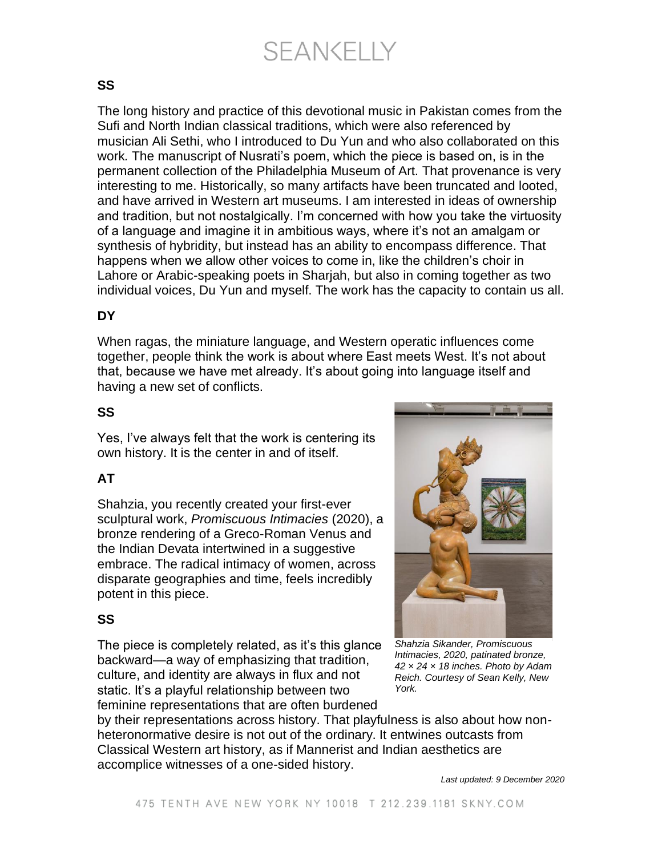# SEANKELLY

### **SS**

The long history and practice of this devotional music in Pakistan comes from the Sufi and North Indian classical traditions, which were also referenced by musician Ali Sethi, who I introduced to Du Yun and who also collaborated on this work*.* The manuscript of Nusrati's poem, which the piece is based on, is in the permanent collection of the Philadelphia Museum of Art. That provenance is very interesting to me. Historically, so many artifacts have been truncated and looted, and have arrived in Western art museums. I am interested in ideas of ownership and tradition, but not nostalgically. I'm concerned with how you take the virtuosity of a language and imagine it in ambitious ways, where it's not an amalgam or synthesis of hybridity, but instead has an ability to encompass difference. That happens when we allow other voices to come in, like the children's choir in Lahore or Arabic-speaking poets in Sharjah, but also in coming together as two individual voices, Du Yun and myself. The work has the capacity to contain us all.

### **DY**

When ragas, the miniature language, and Western operatic influences come together, people think the work is about where East meets West. It's not about that, because we have met already. It's about going into language itself and having a new set of conflicts.

# **SS**

Yes, I've always felt that the work is centering its own history. It is the center in and of itself.

# **AT**

Shahzia, you recently created your first-ever sculptural work, *Promiscuous Intimacies* (2020), a bronze rendering of a Greco-Roman Venus and the Indian Devata intertwined in a suggestive embrace. The radical intimacy of women, across disparate geographies and time, feels incredibly potent in this piece.

#### **SS**

The piece is completely related, as it's this glance backward—a way of emphasizing that tradition, culture, and identity are always in flux and not static. It's a playful relationship between two feminine representations that are often burdened



*Shahzia Sikander, Promiscuous Intimacies, 2020, patinated bronze, 42 × 24 × 18 inches. Photo by Adam Reich. Courtesy of Sean Kelly, New York.*

by their representations across history. That playfulness is also about how nonheteronormative desire is not out of the ordinary. It entwines outcasts from Classical Western art history, as if Mannerist and Indian aesthetics are accomplice witnesses of a one-sided history.

*Last updated: 9 December 2020*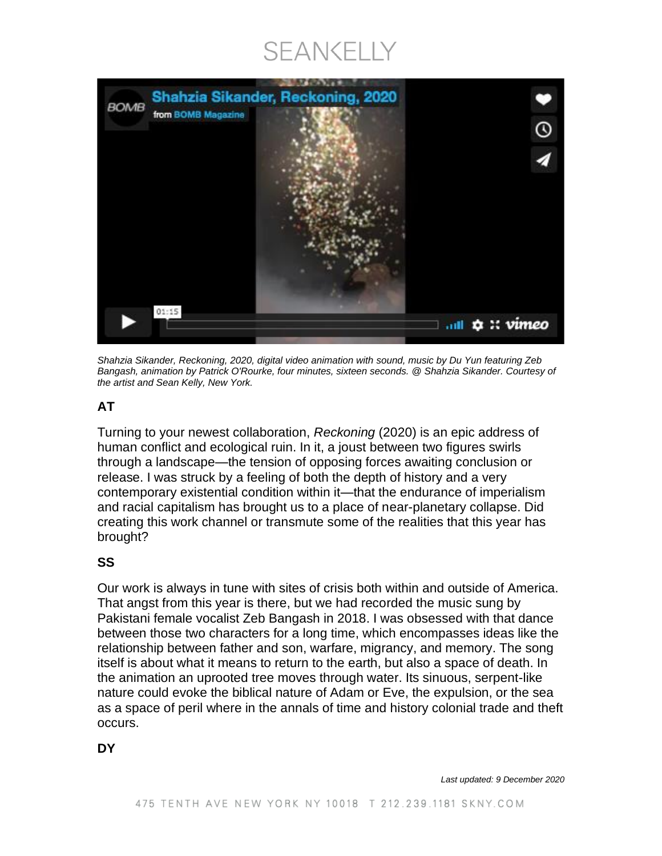# SEANKELLY



*Shahzia Sikander, Reckoning, 2020, digital video animation with sound, music by Du Yun featuring Zeb Bangash, animation by Patrick O'Rourke, four minutes, sixteen seconds. @ Shahzia Sikander. Courtesy of the artist and Sean Kelly, New York.*

### **AT**

Turning to your newest collaboration, *Reckoning* (2020) is an epic address of human conflict and ecological ruin. In it, a joust between two figures swirls through a landscape—the tension of opposing forces awaiting conclusion or release. I was struck by a feeling of both the depth of history and a very contemporary existential condition within it—that the endurance of imperialism and racial capitalism has brought us to a place of near-planetary collapse. Did creating this work channel or transmute some of the realities that this year has brought?

#### **SS**

Our work is always in tune with sites of crisis both within and outside of America. That angst from this year is there, but we had recorded the music sung by Pakistani female vocalist Zeb Bangash in 2018. I was obsessed with that dance between those two characters for a long time, which encompasses ideas like the relationship between father and son, warfare, migrancy, and memory. The song itself is about what it means to return to the earth, but also a space of death. In the animation an uprooted tree moves through water. Its sinuous, serpent-like nature could evoke the biblical nature of Adam or Eve, the expulsion, or the sea as a space of peril where in the annals of time and history colonial trade and theft occurs.

**DY**